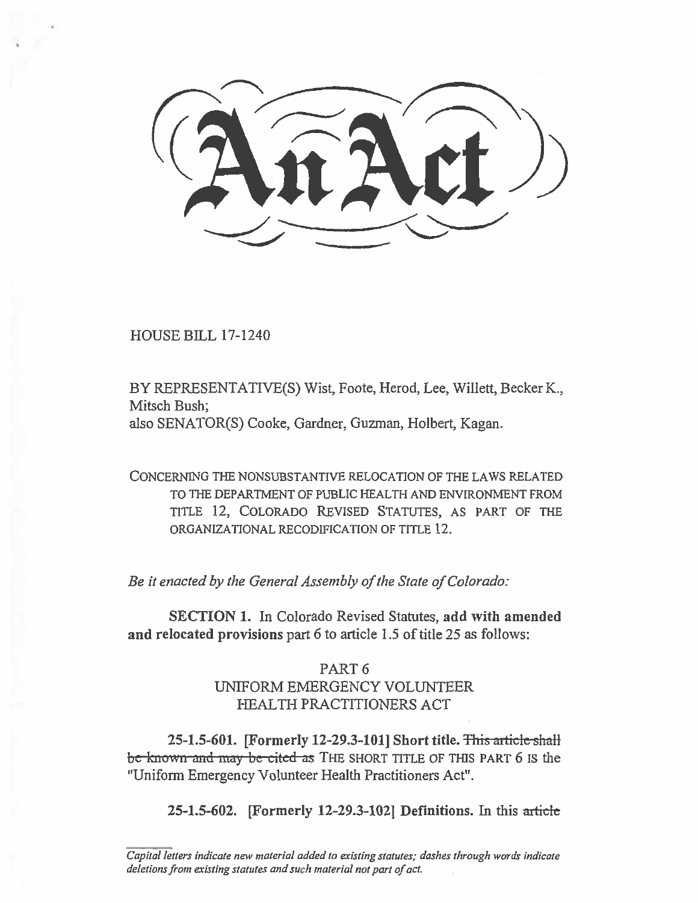$\begin{matrix} \cdot \end{matrix}$ 

HOUSE BILL 17-1240

BY REPRESENTATIVE(S) Wist, Foote, Herod, Lee, Willett, Becker K., Mitsch Bush; also SENATOR(S) Cooke, Gardner, Guzman, Holbert, Kagan.

CONCERNING THE NONSUBSTANTIVE RELOCATION OF THE LAWS RELATED TO THE DEPARTMENT OF PUBLIC HEALTH AND ENVIRONMENT FROM TITLE 12, COLORADO REVISED STATUTES, AS PART OF THE ORGANIZATIONAL RECODIFICATION OF TITLE 12.

*Be it enacted by the General Assembly of the State of Colorado:* 

**SECTION 1. In** Colorado Revised Statutes, **add with amended and relocated provisions** part 6 to article 1.5 of title 25 as follows:

# PART 6 UNIFORM EMERGENCY VOLUNTEER HEALTH PRACTITIONERS ACT

**25-1.5-601.** [Formerly 12-29.3-101] Short title. This article shall be known-and may be cited as THE SHORT TITLE OF THIS PART 6 is the "Uniform Emergency Volunteer Health Practitioners Act".

**25-1.5-602.** [Formerly 12-29.3-102] Definitions. In this article

Capital letters indicate new material added to existing statutes; dashes through words indicate deletions from existing statutes and such material not part of act.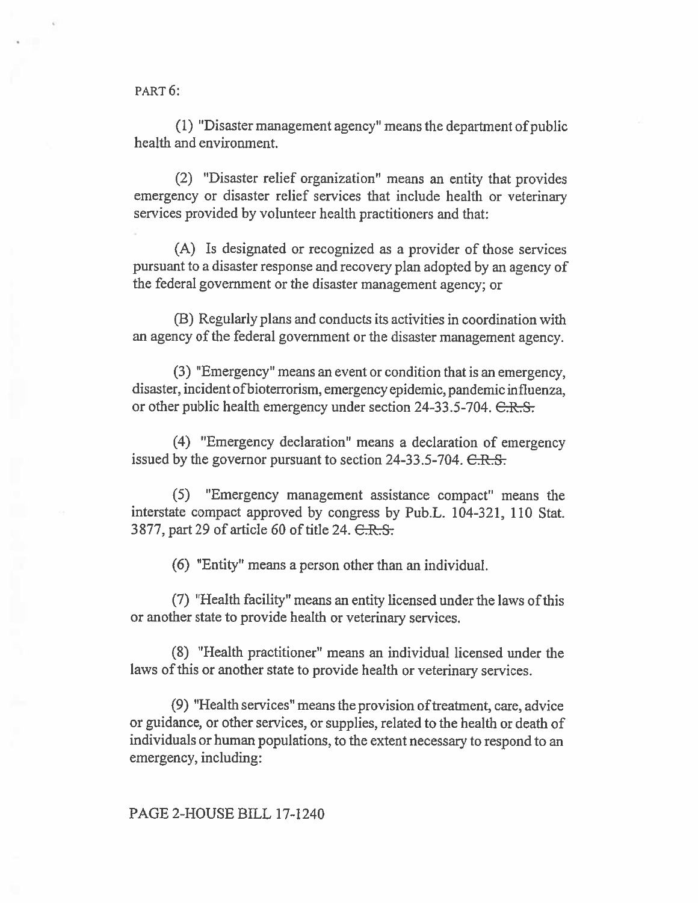PART 6:

(1) "Disaster management agency" means the department of public health and environment.

(2) "Disaster relief organization" means an entity that provides emergency or disaster relief services that include health or veterinary services provided by volunteer health practitioners and that:

(A) Is designated or recognized as a provider of those services pursuant to a disaster response and recovery plan adopted by an agency of the federal government or the disaster management agency; or

(B) Regularly plans and conducts its activities in coordination with an agency of the federal government or the disaster management agency.

**(3)** "Emergency" means an event or condition that is an emergency, disaster, incident of bioterrorism, emergency epidemic, pandemic influenza, or other public health emergency under section 24-33.5-704.  $C.R.S.$ 

(4) "Emergency declaration" means a declaration of emergency issued by the governor pursuant to section  $24-33.5-704$ .  $C.R.S.$ 

(5) "Emergency management assistance compact" **means the**  interstate compact approved by congress by Pub.L. 104-321, 110 Stat. 3877, part 29 of article 60 of title 24. <del>C.R.S.</del>

(6) "Entity" means a person other than an individual.

(7) "Health facility" means an entity licensed under the laws of this or another state **to** provide health or veterinary services.

(8) "Health practitioner" means an individual licensed under the laws of this or another state to provide health or veterinary services.

(9) "Health services" means the provision of treatment, care, advice or guidance, or other services, or supplies, related to the health or death of individuals or human populations, to the extent necessary to respond to an emergency, including:

#### **PAGE 2-HOUSE BILL 17-1240**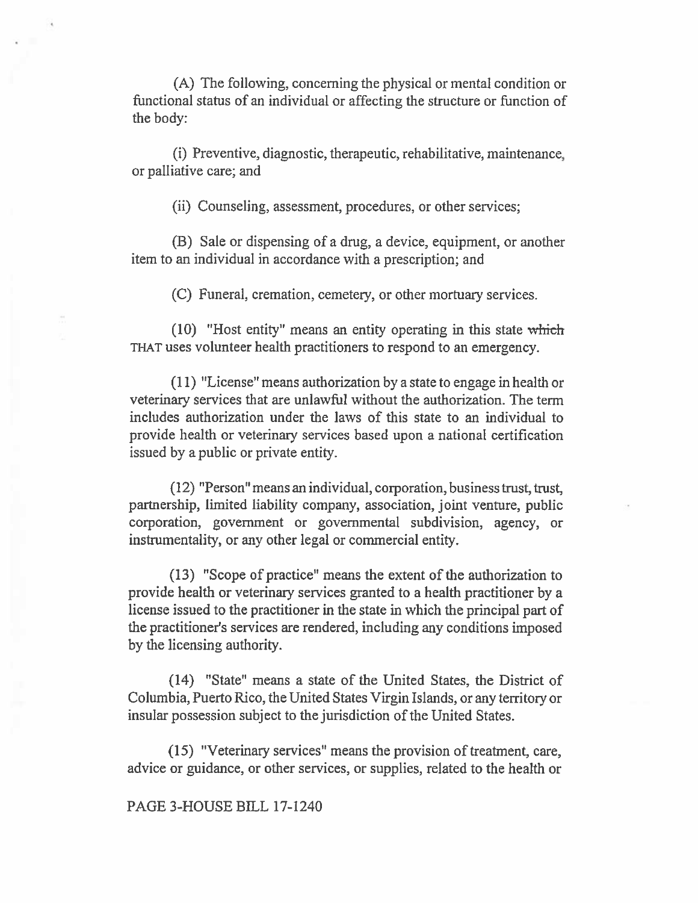(A) The following, concerning the physical or mental condition or functional status of an individual or affecting the structure or function of the body:

(i) Preventive, diagnostic, therapeutic, rehabilitative, maintenance, or palliative care; and

(ii) Counseling, assessment, procedures, or other services;

(13) Sale or dispensing of a drug, a device, equipment, or another item to an individual in accordance with a prescription; and

(C) Funeral, cremation, cemetery, or other mortuary services.

(10) "Host entity" means an entity operating in this state which THAT uses volunteer health practitioners to respond to an emergency.

(11) "License" means authorization by a state to engage in health or veterinary services that are unlawful without the authorization. The term includes authorization under the laws of this state to an individual to provide health or veterinary services based upon a national certification issued by a public or private entity.

(12) "Person" means an individual, corporation, business trust, trust, partnership, limited liability company, association, joint venture, public corporation, government or governmental subdivision, agency, or instrumentality, or any other legal or commercial entity.

(13) "Scope of practice" means the extent of the authorization to provide health or veterinary services granted to a health practitioner by a license issued to the practitioner in the state in which the principal part of the practitioner's services are rendered, including any conditions imposed by the licensing authority.

(14) "State" means a state of the United States, the District of Columbia, Puerto Rico, the United States Virgin Islands, or any territory or insular possession subject to the jurisdiction of the United States.

(15) "Veterinary services" means the provision of treatment, care, advice or guidance, or other services, or supplies, related to the health or

## PAGE 3-HOUSE BILL 17-1240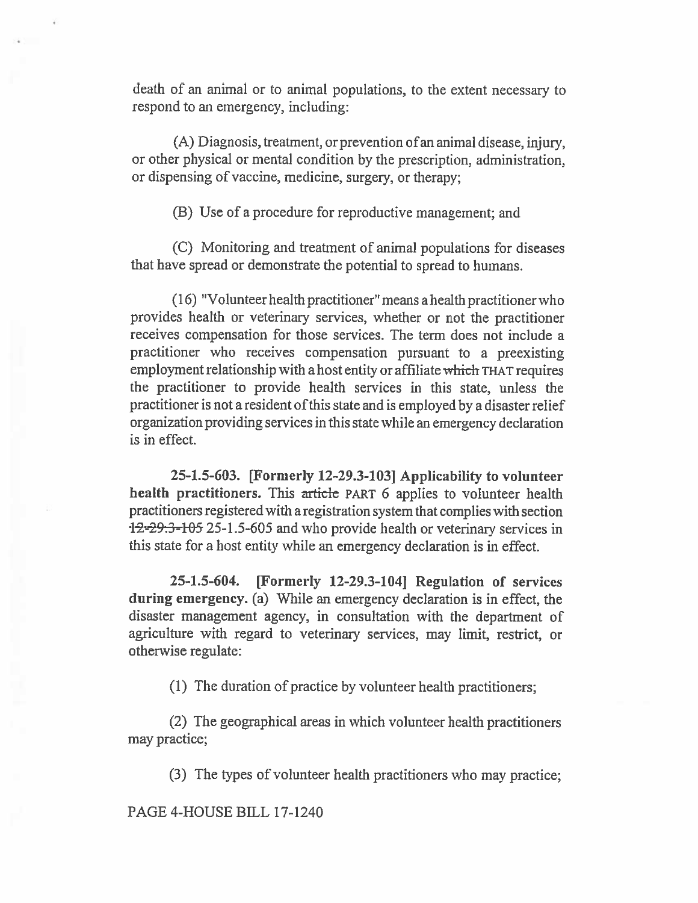death of an animal or to animal populations, to the extent necessary to respond to an emergency, including:

(A) Diagnosis, treatment, or prevention ofan animal disease, injury, or other physical or mental condition by the prescription, administration, or dispensing of vaccine, medicine, surgery, or therapy;

(B) Use of a procedure for reproductive management; and

(C) Monitoring and treatment of animal populations for diseases that have spread or demonstrate the potential to spread to humans.

(16) "Volunteer health practitioner" means a health practitioner who provides health or veterinary services, whether or not the practitioner receives compensation for those services. The term does not include **a**  practitioner who receives compensation **pursuant** to a preexisting employment relationship with a host entity or affiliate which THAT requires the practitioner to provide health services in this state, unless the practitioner is not a resident of this state and is employed by a disaster relief organization providing services in this state while an emergency declaration is in effect.

**25-1.5-603. [Formerly 12-29.3-103J Applicability to volunteer health practitioners.** This article PART 6 applies to volunteer health practitioners registered with a registration system that complies with section 12-29.3-105 25-1.5-605 and who provide health or veterinary services in this state for a host entity while an emergency declaration is in effect.

**25-1.5-604. [Formerly 12-29.3-1041 Regulation of services during emergency.** (a) While an emergency declaration is in effect, the disaster management agency, in consultation with the department of agriculture with regard to veterinary services, may limit, restrict, or otherwise regulate:

(1) The duration of practice by volunteer health practitioners;

(2) The geographical areas in which volunteer health practitioners may practice;

(3) The types of volunteer health practitioners who may practice;

PAGE 4-HOUSE BILL 17-1240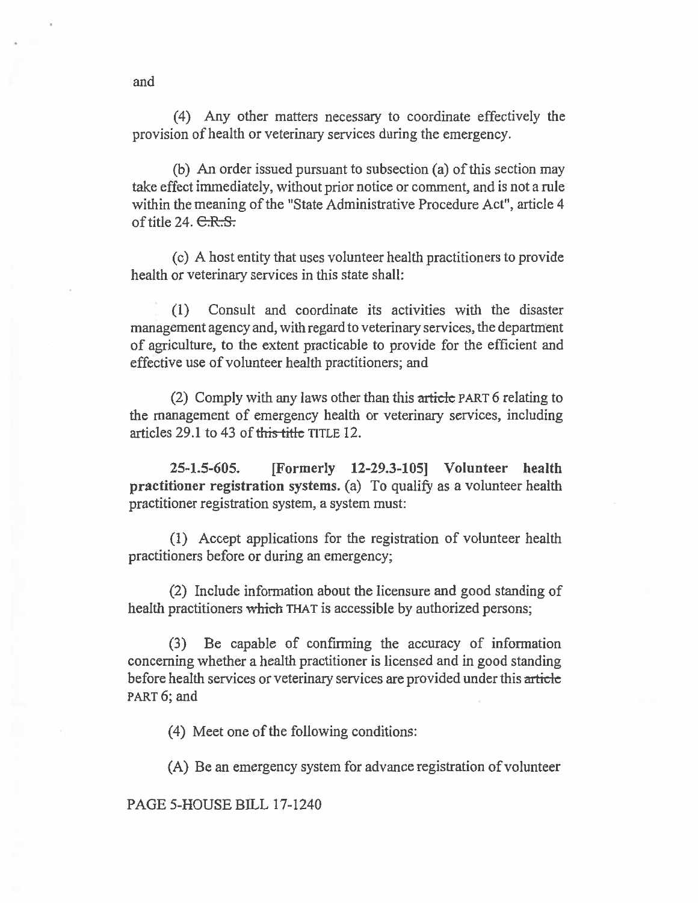(4) Any other matters necessary to coordinate effectively the provision of health or veterinary services during the emergency.

(b) An order issued pursuant to subsection (a) of this section may take effect immediately, without prior notice or comment, and is not a rule within the meaning of the "State Administrative Procedure Act", article 4 of title 24.  $C.R.S.$ 

(c) A host entity that uses volunteer health practitioners to provide health or veterinary services in this state shall:

(1) Consult and coordinate its activities with the disaster management agency and, with regard to veterinary services, the department of agriculture, to the extent practicable to provide for the efficient and effective use of volunteer health practitioners; and

(2) Comply with any laws other than this article PART 6 relating to the management of emergency health or veterinary services, including articles 29.1 to 43 of this title TITLE 12.

**25-1.5-605. [Formerly 12-29.3-105] Volunteer health practitioner registration systems.** (a) To qualify as a volunteer health practitioner registration system, a system must:

(1) Accept applications for the registration of volunteer health practitioners before or during an emergency;

(2) Include information about the licensure and good standing of health practitioners which THAT is accessible by authorized persons;

(3) Be capable of confirming the accuracy of information concerning whether a health practitioner is licensed and in good standing before health services or veterinary services are provided under this article PART 6; and

(4) Meet one of the following conditions:

(A) Be an emergency system for advance registration of volunteer

PAGE 5-HOUSE BILL 17-1240

and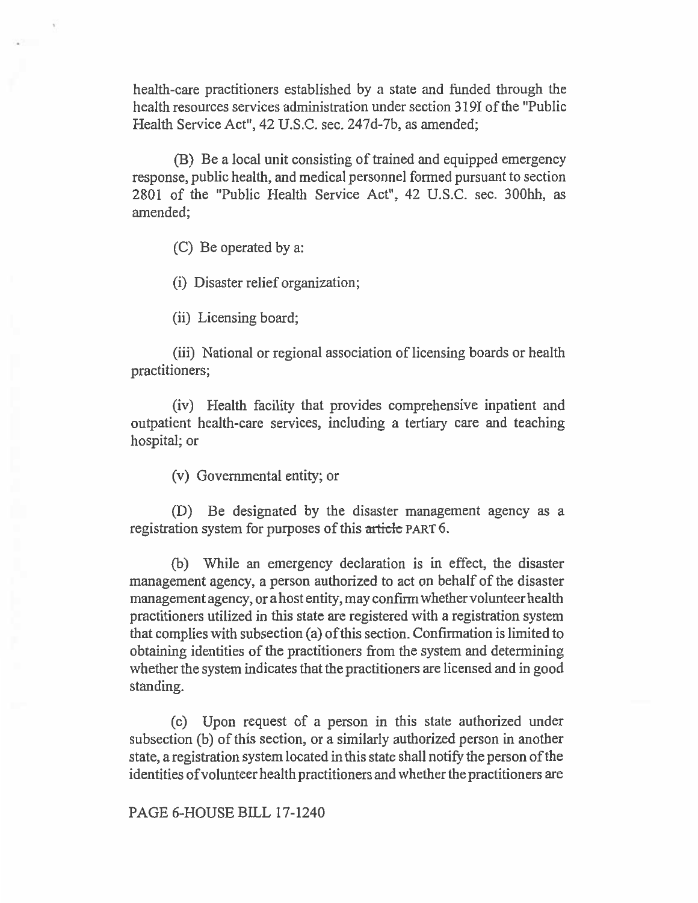health-care practitioners established by a state and funded through the health resources services administration under section 3191 of the "Public Health Service Act", 42 U.S.C. sec. 247d-7b, as amended;

(B) Be a local unit consisting of trained and equipped emergency response, public health, and medical personnel formed pursuant to section 2801 of the "Public Health Service Act", 42 U.S.C. sec. 300hh, as amended;

(C) Be operated by a:

(1) Disaster relief organization;

(ii) Licensing board;

(iii) National or regional association of licensing boards or health practitioners;

(iv) Health facility that provides comprehensive inpatient and outpatient health-care services, including a tertiary care and teaching hospital; or

(v) Governmental entity; or

(D) Be designated by the disaster management agency as a registration system for purposes of this article PART 6.

(b) While an emergency declaration is in effect, the disaster management agency, a person authorized to act on behalf of the disaster management agency, or a host entity, may confirm whether volunteer health practitioners utilized in this state are registered with a registration system that complies with subsection (a) ofthis section. Confirmation is limited to obtaining identities of the practitioners from the system and determining whether the system indicates that the practitioners are licensed and in good standing.

(c) Upon request of a person in this state authorized under subsection (b) of this section, or a similarly authorized person in another state, a registration system located in this state shall notify the person of the identities of volunteer health practitioners and whether the practitioners are

PAGE 6-HOUSE BILL 17-1240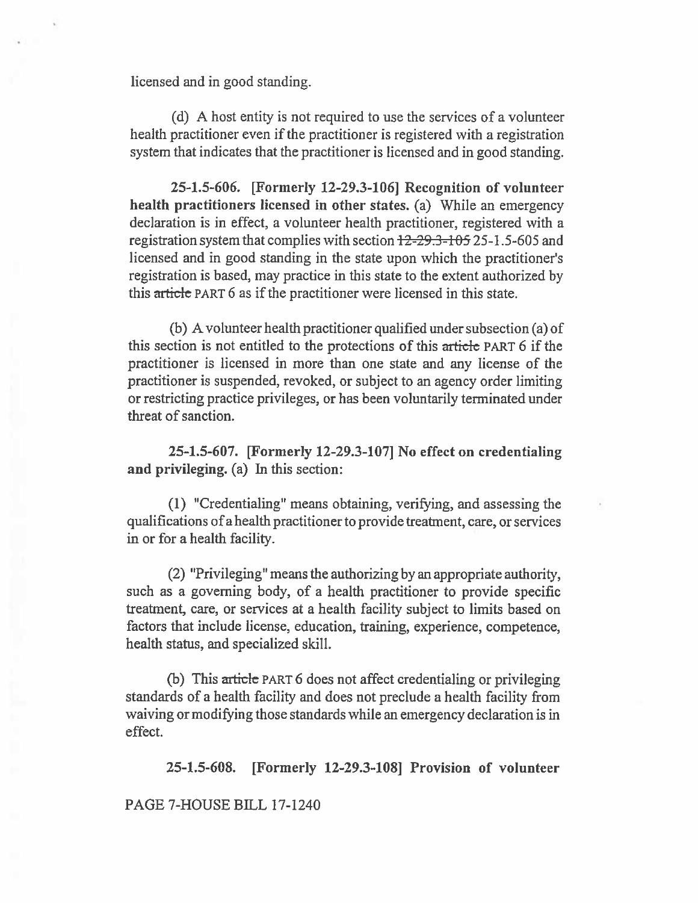licensed and in good standing.

(d) A host entity is not required to use the services of a volunteer health practitioner even if the practitioner is registered with a registration system that indicates that the practitioner is licensed and in good standing.

**25-1.5-606. [Formerly 12-29.3-106] Recognition of volunteer health practitioners licensed in other states.** (a) While an emergency declaration is in effect, a volunteer health practitioner, registered with a registration system that complies with section  $12-29.3-105$  25-1.5-605 and licensed and in good standing in the state upon which the practitioner's registration is based, may practice in this state to the extent authorized by this article PART 6 as if the practitioner were licensed in this state.

(b) A volunteer health practitioner qualified under subsection (a) of this section is not entitled to the protections of this article PART 6 if the practitioner is licensed in more than one state and any license of the practitioner is suspended, revoked, or subject to an agency order limiting or restricting practice privileges, or has been voluntarily terminated under threat of sanction.

**25-1.5-607. [Formerly 12-29.3-107] No effect on credentialing and privileging.** (a) In this section:

(1) "Credentialing" means obtaining, verifying, and assessing the qualifications of a health practitioner to provide treatment, care, or services in or for a health facility.

(2) "Privileging" means the authorizing by an appropriate authority, such as a governing body, of a health practitioner to provide specific treatment, care, or services at a health facility subject to limits based on factors that include license, education, training, experience, competence, health status, and specialized skill.

(b) This  $\arrows$  PART 6 does not affect credentialing or privileging standards of a health facility and does not preclude a health facility from waiving or modifying those standards while an emergency declaration is in effect.

**25-1.5-608. [Formerly 12-29.3-108J Provision of volunteer** 

PAGE 7-HOUSE BILL 17-1240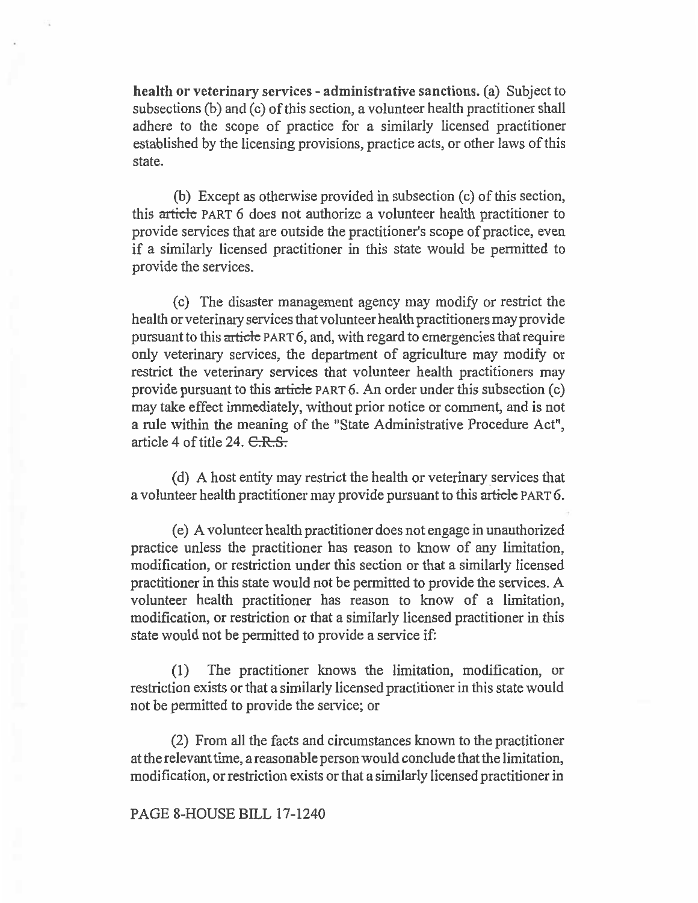health or veterinary services - administrative sanctions. (a) Subject to subsections (b) and (c) of this section, a volunteer health practitioner shall adhere to the scope of practice for a similarly licensed practitioner established by the licensing provisions, practice acts, or other laws of this state.

(b) Except as otherwise provided in subsection (c) of this section, this article PART 6 does not authorize a volunteer health practitioner to provide services that are outside the practitioner's scope of practice, even if a similarly licensed practitioner in this state would be permitted to provide the services.

(c) The disaster management agency may modify or restrict the health or veterinary services that volunteer health practitioners may provide pursuant to this article PART 6, and, with regard to emergencies that require only veterinary services, the department of agriculture may modify or restrict the veterinary services that volunteer health practitioners may provide pursuant to this articic PART 6. An order under this subsection (c) may take effect immediately, without prior notice or comment, and is not a rule within the meaning of the "State Administrative Procedure Act", article 4 of title 24.  $C.R.S.$ 

(d) A host entity may restrict the health or veterinary services that a volunteer health practitioner may provide pursuant to this article PART 6.

(e) A volunteer health practitioner does not engage in unauthorized practice unless the practitioner has reason to know of any limitation, modification, or restriction under this section or that a similarly licensed practitioner in this state would not be permitted to provide the services. A volunteer health practitioner has reason to know of a limitation, modification, or restriction or that a similarly licensed practitioner in this state would not be permitted to provide a service if:

(1) The practitioner knows the limitation, modification, or restriction exists or that a similarly licensed practitioner in this state would not be permitted to provide the service; or

(2) From all the facts and circumstances known to the practitioner at the relevant time, a reasonable person would conclude that the limitation, modification, or restriction exists or that a similarly licensed practitioner in

### PAGE 8-HOUSE BILL 17-1240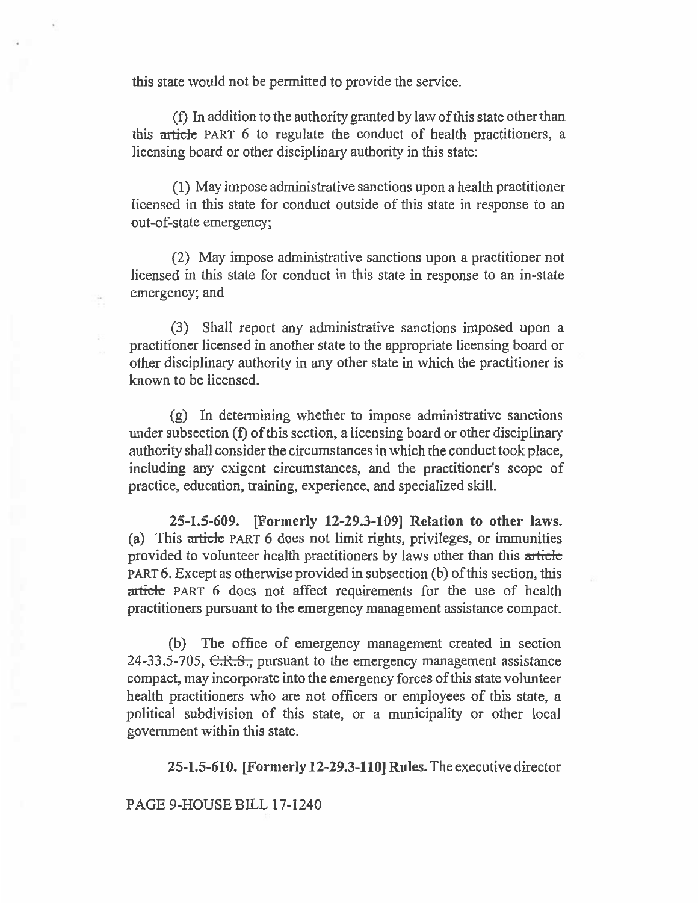this state would not be permitted to provide the service.

(f) In addition to the authority granted by law of this state other than this article PART 6 to regulate the conduct of health practitioners, a licensing board or other disciplinary authority in this state:

(1) May impose administrative sanctions upon a health practitioner licensed in this state for conduct outside of this state in response to an out-of-state emergency;

(2) May impose administrative sanctions upon a practitioner not licensed in this state for conduct in this state in response to an in-state emergency; and

(3) Shall report any administrative sanctions imposed upon a practitioner licensed in another state to the appropriate licensing board or other disciplinary authority in any other state in which the practitioner is known to be licensed.

(g) In determining whether to impose administrative sanctions under subsection (f) of this section, a licensing board or other disciplinary authority shall consider the circumstances in which the conduct took place, including any exigent circumstances, and the practitioner's scope of practice, education, training, experience, and specialized skill.

**25-1.5-609. [Formerly 12-29.3-109] Relation to other laws.**  (a) This  $article$  PART 6 does not limit rights, privileges, or immunities provided to volunteer health practitioners by laws other than this article PART 6. Except as otherwise provided in subsection (b) of this section, this article PART 6 does not affect requirements for the use of health practitioners pursuant to the emergency management assistance compact.

(b) The office of emergency management created in section 24-33.5-705, C.R.S., pursuant to the emergency management assistance compact, may incorporate into the emergency forces of this state volunteer health practitioners who are not officers or employees of this state, a political subdivision of this state, or a municipality or other local government within this state.

**25-1.5-610. [Formerly 12-29.3-110] Rules.** The executive director

PAGE 9-HOUSE **BILL** 17-1240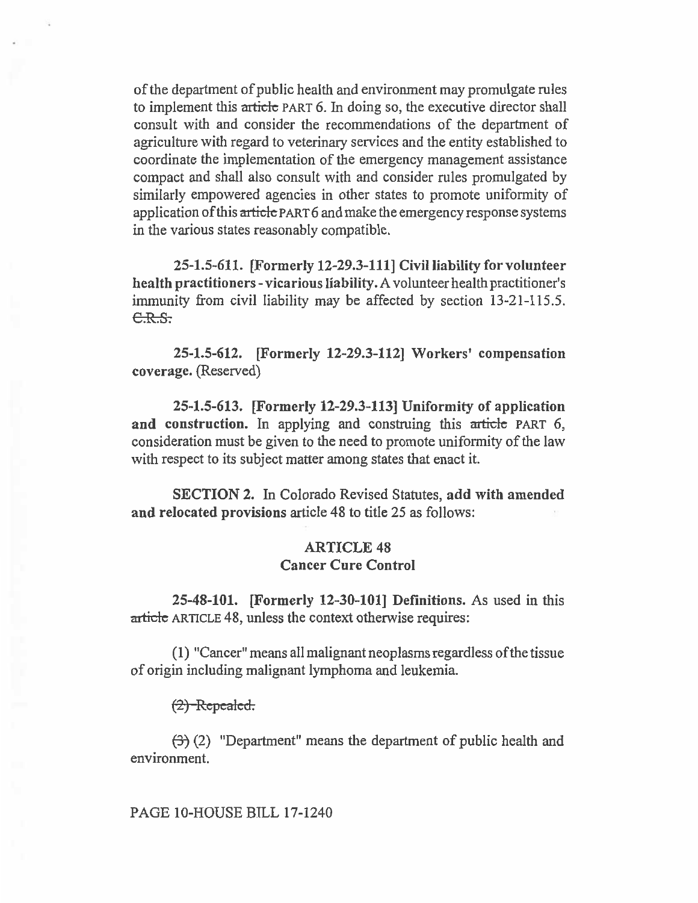of the department of public health and environment may promulgate rules to implement this article PART 6. In doing so, the executive director shall consult with and consider the recommendations of the department of agriculture with regard to veterinary services and the entity established to coordinate the implementation of the emergency management assistance compact and shall also consult with and consider rules promulgated by similarly empowered agencies in other states to promote uniformity of application of this article PART 6 and make the emergency response systems in the various states reasonably compatible.

**25-1.5-611. [Formerly 12-29.3-111] Civil liability for volunteer health practitioners - vicarious liability.** A volunteer health practitioner's immunity from civil liability may be affected by section 13-21-115.5.  $C.R.S.$ 

**25-1.5-612. [Formerly 12-29.3-112] Workers' compensation coverage.** (Reserved)

**25-1.5-613. [Formerly 12-29.3-113] Uniformity of application**  and construction. In applying and construing this article PART 6, consideration must be given to the need to promote uniformity of the law with respect to its subject matter among states that enact it.

**SECTION 2.** In Colorado Revised Statutes, **add with amended and relocated provisions** article 48 to title 25 as follows:

# **ARTICLE 48 Cancer Cure Control**

**25-48-101. [Formerly 12-30-101] Definitions. As** used in this article ARTICLE 48, unless the context otherwise requires:

(1) "Cancer" means all malignant neoplasms regardless ofthe tissue of origin including malignant lymphoma and leukemia.

#### *pcaica.*

 $(3)$  (2) "Department" means the department of public health and environment.

## PAGE 10-HOUSE BILL 17-1240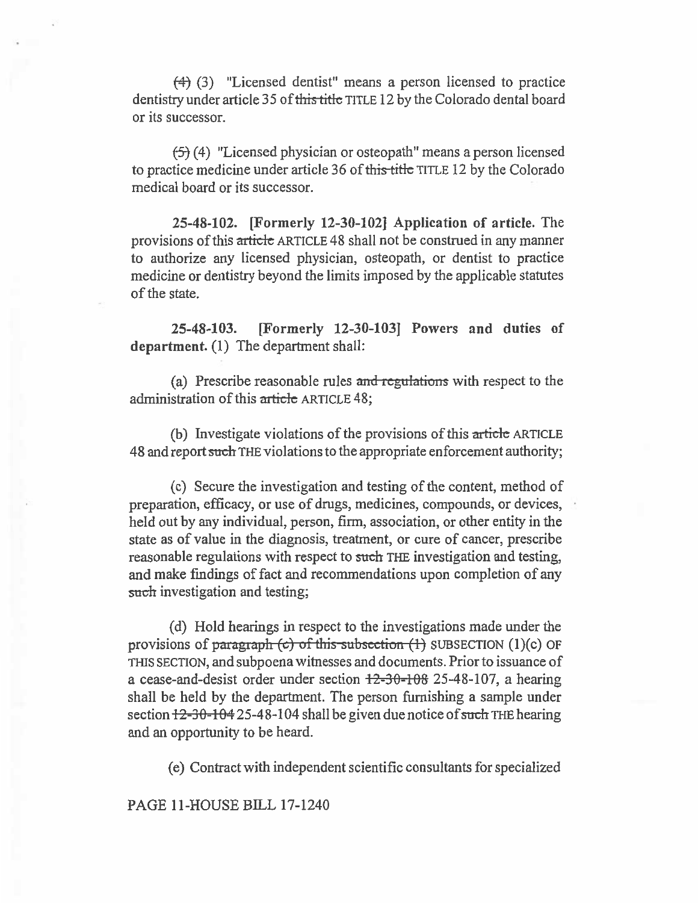(4) (3) "Licensed dentist" means a person licensed to practice dentistry under article 35 of this title TITLE 12 by the Colorado dental board or its successor.

(5) (4) "Licensed physician or osteopath" means a person licensed to practice medicine under article 36 of this title TITLE 12 by the Colorado medical board or its successor.

**25-48-102. [Formerly 12-30-102] Application of article.** The provisions of this article ARTICLE 48 shall not be construed in any manner to authorize any licensed physician, osteopath, or dentist to practice medicine or dentistry beyond the limits imposed by the applicable statutes of the state.

**25-48-103. [Formerly 12-30-103] Powers and duties of department.** (1) The department shall:

(a) Prescribe reasonable rules and regulations with respect to the administration of this article ARTICLE 48;

(b) Investigate violations of the provisions of this article ARTICLE 48 and report such THE violations to the appropriate enforcement authority;

(c) Secure the investigation and testing of the content, method of preparation, efficacy, or use of drugs, medicines, compounds, or devices, held out by any individual, person, firm, association, or other entity in the state as of value in the diagnosis, treatment, or cure of cancer, prescribe reasonable regulations with respect to such THE investigation and testing, and make findings of fact and recommendations upon completion of any such investigation and testing;

(d) Hold hearings in respect to the investigations made under the provisions of paragraph (c) of this subsection  $(1)$  SUBSECTION (1)(c) OF THIS SECTION, and subpoena witnesses and documents. Prior to issuance of a cease-and-desist order under section  $12-30-108$  25-48-107, a hearing shall be held by the department. The person furnishing a sample under section  $12-30-104$  25-48-104 shall be given due notice of such THE hearing and an opportunity to be heard.

(e) Contract with independent scientific consultants for specialized

PAGE 11-HOUSE BILL 17-1240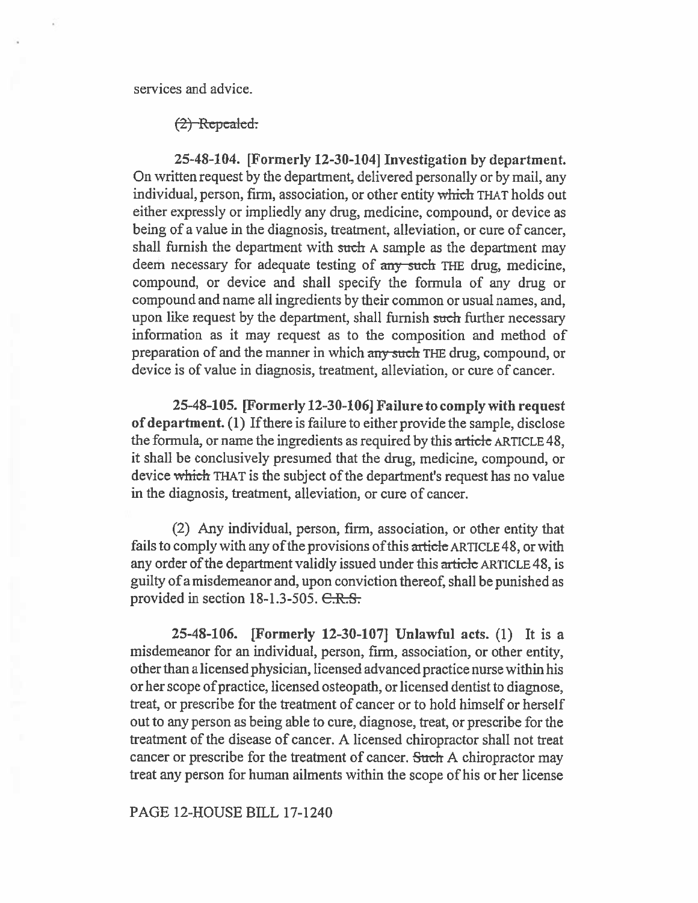services and advice.

### $(2)$  Repealed.

25-48-104. [Formerly 12-30-104] Investigation by department. On written request by the department, delivered personally or by mail, any individual, person, firm, association, or other entity which THAT holds out either expressly or impliedly any drug, medicine, compound, or device as being of a value in the diagnosis, treatment, alleviation, or cure of cancer, shall furnish the department with such A sample as the department may deem necessary for adequate testing of any such THE drug, medicine, compound, or device and shall specify the formula of any drug or compound and name all ingredients by their common or usual names, and, upon like request by the department, shall furnish such further necessary information as it may request as to the composition and method of preparation of and the manner in which any such THE drug, compound, or device is of value in diagnosis, treatment, alleviation, or cure of cancer.

**25-48-105. [Formerly 12-30-106] Failure to comply with request of department. (1)** If there is failure to either provide the sample, disclose the formula, or name the ingredients as required by this article ARTICLE 48, it shall be conclusively presumed that the drug, medicine, compound, or device which THAT is the subject of the department's request has no value in the diagnosis, treatment, alleviation, or cure of cancer.

(2) Any individual, person, firm, association, or other entity that fails to comply with any of the provisions of this article ARTICLE 48, or with any order of the department validly issued under this article ARTICLE 48, is guilty of a misdemeanor and, upon conviction thereof, shall be punished as provided in section  $18-1.3-505$ .  $C.R.S.$ 

**25-48-106. [Formerly 12-30-107] Unlawful acts. (1)** It is a misdemeanor for an individual, person, firm, association, or other entity, other than a licensed physician, licensed advanced practice nurse within his or her scope ofpractice, licensed osteopath, or licensed dentist to diagnose, treat, or prescribe for the treatment of cancer or to hold himself or herself out to any person as being able to cure, diagnose, **treat, or** prescribe for the treatment of the disease of cancer. A licensed chiropractor shall not treat cancer or prescribe for the treatment of cancer. Such A chiropractor may treat any person for human ailments within the scope of his or her license

#### PAGE 12-HOUSE **BILL** 17-1240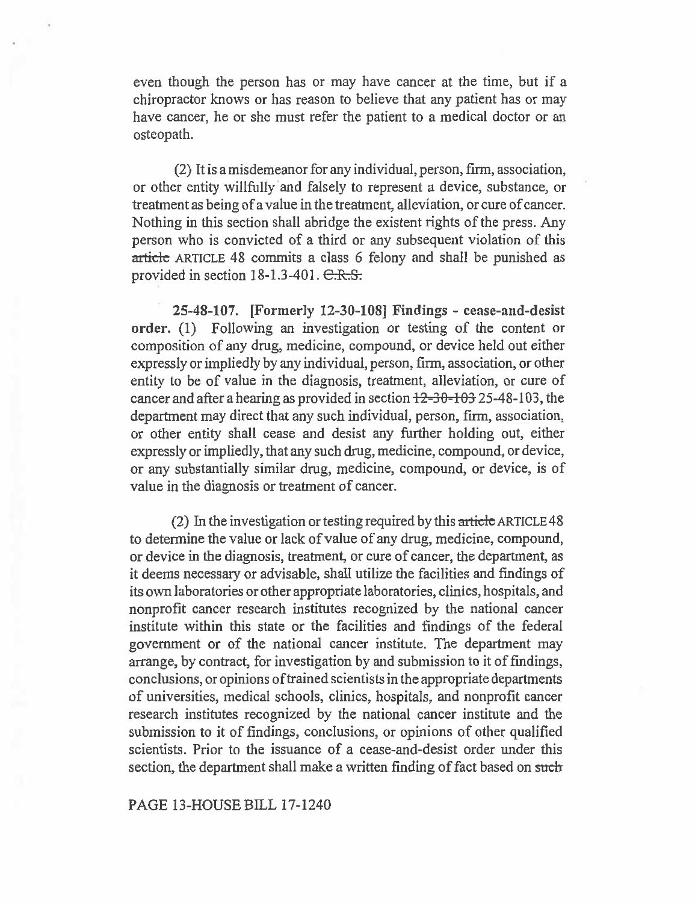even though the person has or may have cancer at the time, but if a chiropractor knows or has reason to believe that any patient has or may have cancer, he or she must refer the patient to a medical doctor or an osteopath.

(2) It is a misdemeanor for any individual, person, firm, association, or other entity willfully and falsely to represent a device, substance, or treatment as being of a value in the treatment, alleviation, or cure of cancer. Nothing in this section shall abridge the existent rights of the press. Any person who is convicted of a third or any subsequent violation of this article ARTICLE 48 commits a class 6 felony and shall be punished as provided in section  $18-1.3-401$ .  $C.R.S.$ 

**25-48-107. [Formerly 12-30-108] Findings - cease-and-desist order.** (1) Following an investigation or testing of the content or composition of any drug, medicine, compound, or device held out either expressly or impliedly by any individual, person, firm, association, or other entity to be of value in the diagnosis, treatment, alleviation, or cure of cancer and after a hearing as provided in section  $12-30-103$  25-48-103, the department may direct that any such individual, person, firm, association, or other entity shall cease and desist any further holding out, either expressly or impliedly, that any such drug, medicine, compound, or device, or any substantially similar drug, medicine, compound, or device, is of value in the diagnosis or treatment of cancer.

(2) In the investigation or testing required by this article ARTICLE 48 to determine the value or lack of value of any drug, medicine, compound, or device in the diagnosis, treatment, or cure of cancer, the department, as it deems necessary or advisable, shall utilize the facilities and findings of its own laboratories or other appropriate laboratories, clinics, hospitals, and nonprofit cancer research institutes recognized by the national cancer institute within this state or the facilities and findings of the federal government or of the national cancer institute. The department may arrange, by contract, for investigation by and submission to it of findings, conclusions, or opinions of trained scientists in the appropriate departments of universities, medical schools, clinics, hospitals, and nonprofit cancer research institutes recognized by the national cancer institute and the submission to it of findings, conclusions, or opinions of other qualified scientists. Prior to the issuance of a cease-and-desist order under this section, the department shall make a written finding of fact based on such

PAGE 13-HOUSE BILL 17-1240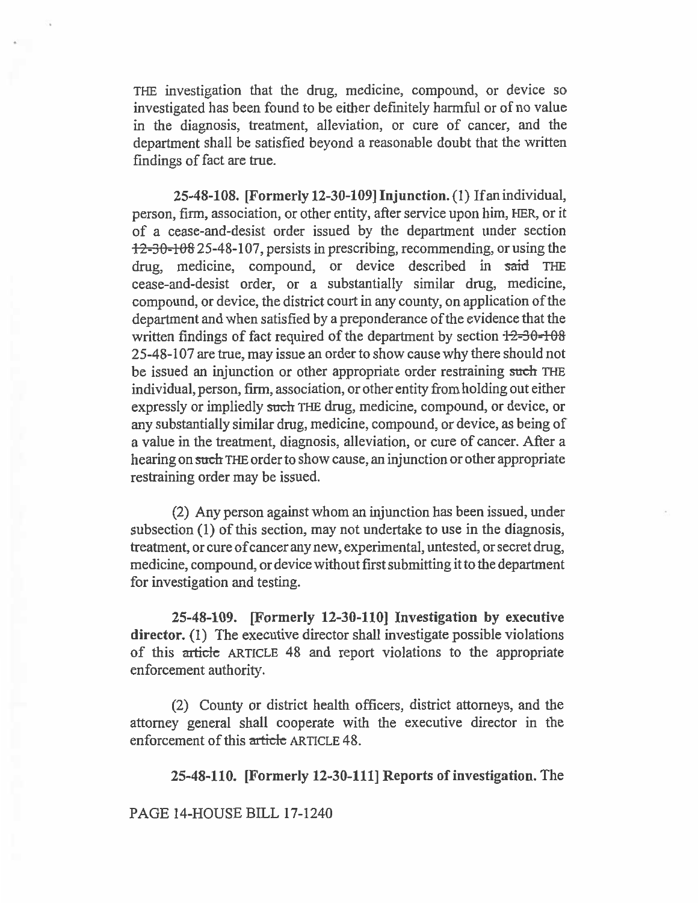THE investigation that the drug, medicine, compound, or device so investigated has been found to be either definitely harmful or of no value in the diagnosis, treatment, alleviation, or cure of cancer, and the department shall be satisfied beyond a reasonable doubt that the written findings of fact are true.

**25-48-108. [Formerly 12-30-109] Injunction.** (1) If an individual, person, firm, association, or other entity, after service upon him, HER, or it of a cease-and-desist order issued by the department under section  $12-30-108$  25-48-107, persists in prescribing, recommending, or using the drug, medicine, compound, or device described in said THE cease-and-desist order, or a substantially similar drug, medicine, compound, or device, the district court in any county, on application of the department and when satisfied by a preponderance of the evidence that the written findings of fact required of the department by section  $\frac{12-30-108}{2}$ 25-48-107 are true, may issue an order to show cause why there should not be issued an injunction or other appropriate order restraining such THE individual, person, firm, association, or other entity from holding out either expressly or impliedly **such** THE drug, medicine, compound, or device, or any substantially similar drug, medicine, compound, or device, as being of a value in the treatment, diagnosis, alleviation, or cure of cancer. After a hearing on **such** THE order to show cause, an injunction or other appropriate restraining order may be issued.

(2) Any person against whom an injunction has been issued, under subsection (1) of this section, may not undertake to use in the diagnosis, treatment, or cure of cancer any new, experimental, untested, or secret drug, medicine, compound, or device without first submitting it to the department for investigation and testing.

**25-48-109. [Formerly 12-30-110] Investigation by executive director.** (1) The executive director shall investigate possible violations of this article ARTICLE 48 and report violations to the appropriate enforcement authority.

(2) County or district health officers, district attorneys, and the attorney general shall cooperate with the executive director in the enforcement of this article ARTICLE 48.

**25-48-110. [Formerly 12-30-111] Reports of investigation. The** 

**PAGE 14-HOUSE BILL** 17-1240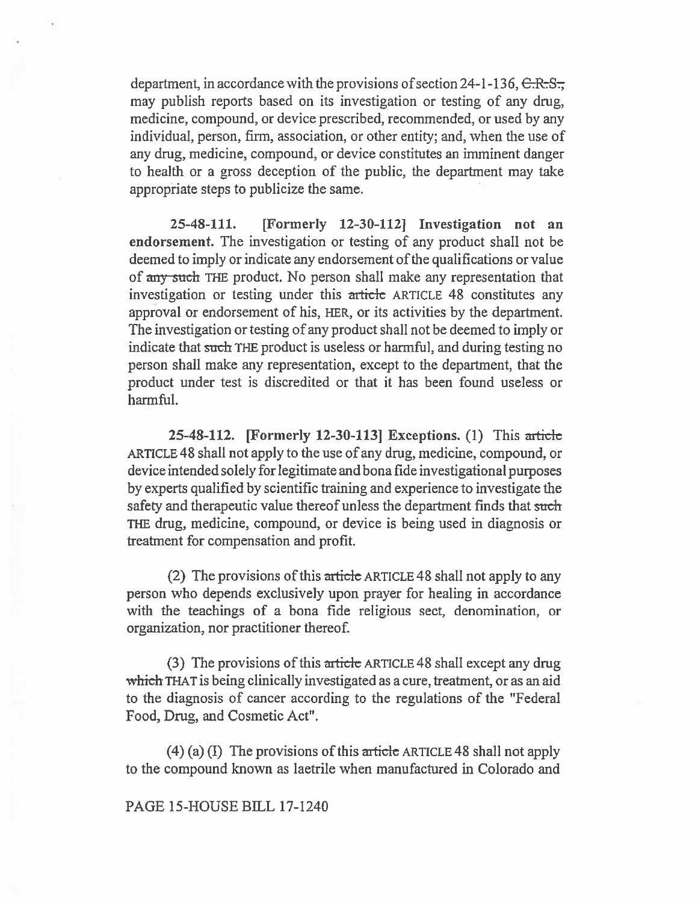department, in accordance with the provisions of section 24-1-136,  $C.R.S.$ may publish reports based on its investigation or testing of any drug, medicine, compound, or device prescribed, recommended, or used by any individual, person, firm, association, or other entity; and, when the use of any drug, medicine, compound, or device constitutes an imminent danger to health or a gross deception of the public, the department may take appropriate steps to publicize the same.

25-48-111. [Formerly 12-30-1121 Investigation not an endorsement. The investigation or testing of any product shall not be deemed to imply or indicate any endorsement of the qualifications or value of any such THE product. No person shall make any representation that investigation or testing under this article ARTICLE 48 constitutes any approval or endorsement of his, HER, or its activities by the department. The investigation or testing of any product shall not be deemed to imply or indicate that such THE product is useless or harmful, and during testing no person shall make any representation, except to the department, that the product under test is discredited or that it has been found useless or harmful.

25-48-112. [Formerly 12-30-113] Exceptions. (1) This article ARTICLE 48 shall not apply to the use of any drug, medicine, compound, or device intended solely for legitimate and bona fide investigational purposes by experts qualified by scientific training and experience to investigate the safety and therapeutic value thereof unless the department finds that such THE drug, medicine, compound, or device is being used in diagnosis or treatment for compensation and profit

(2) The provisions of this article ARTICLE 48 shall not apply to any person who depends exclusively upon prayer for healing in accordance with the teachings of a bona fide religious sect, denomination, or organization, nor practitioner thereof.

(3) The provisions of this article ARTICLE 48 shall except any drug which THAT is being clinically investigated as a cure, treatment, or as an aid to the diagnosis of cancer according to the regulations of the "Federal Food, Drug, and Cosmetic Act".

 $(4)$  (a) (I) The provisions of this article ARTICLE 48 shall not apply to the compound known as laetrile when manufactured in Colorado and

PAGE 15-HOUSE BILL 17-1240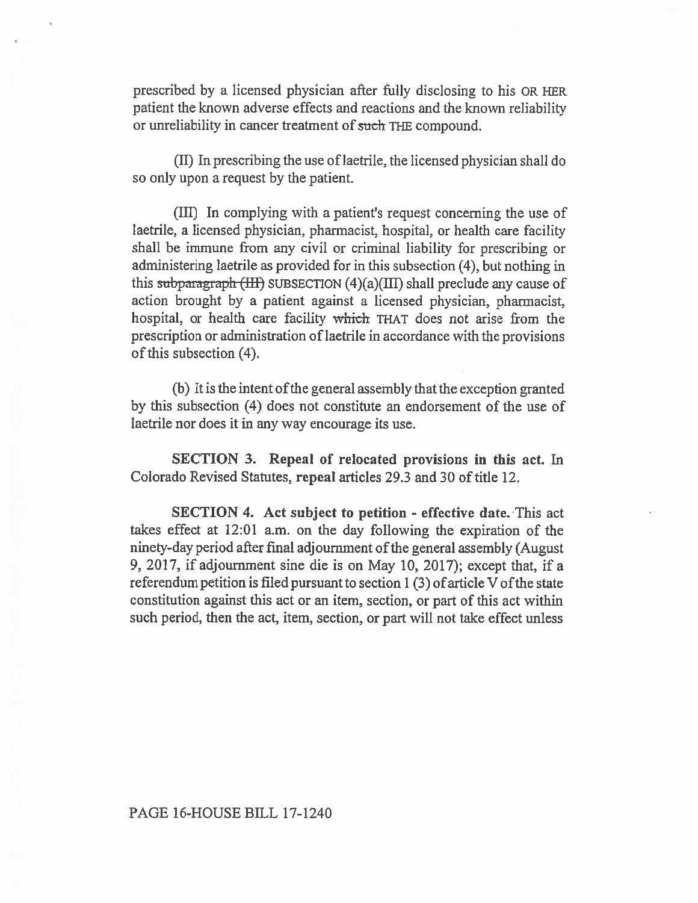prescribed by a licensed physician after fully disclosing to his OR HER patient the known adverse effects and reactions and the known reliability or unreliability in cancer treatment of such THE compound.

(II) In prescribing the use of laetrile, the licensed physician shall do so only upon a request by the patient.

(III) In complying with a patient's request concerning the use of laetrile, a licensed physician, pharmacist, hospital, or health care facility shall be immune **from any** civil or criminal liability for prescribing or administering laetrile as provided for in this subsection (4), but nothing in this subparagraph  $(HH)$  SUBSECTION  $(4)(a)(III)$  shall preclude any cause of action brought by a patient against a licensed physician, pharmacist, hospital, or health care facility which THAT does not arise from the prescription or administration of laetrile in accordance with the provisions of this subsection (4).

(b) It is the intent of the general assembly that the exception granted by this subsection (4) does not constitute an endorsement of the use of laetrile nor does it in any way encourage its use.

**SECTION 3. Repeal of relocated provisions in this act.** In Colorado Revised Statutes, **repeal articles** 293 and 30 of title 12.

**SECTION 4. Act subject to petition - effective date. This act takes** effect at 12:01 a.m. on the day following the expiration of the ninety-day period after final adjournment of the general assembly (August 9, 2017, if adjournment sine die is on May 10, 2017); except that, if a referendum petition is filed pursuant to section 1 (3) of article V of the state constitution against this act or an item, section, or part of this act within such period, then the act, item, section, or part will not take effect unless

PAGE 16-HOUSE BILL 17-1240